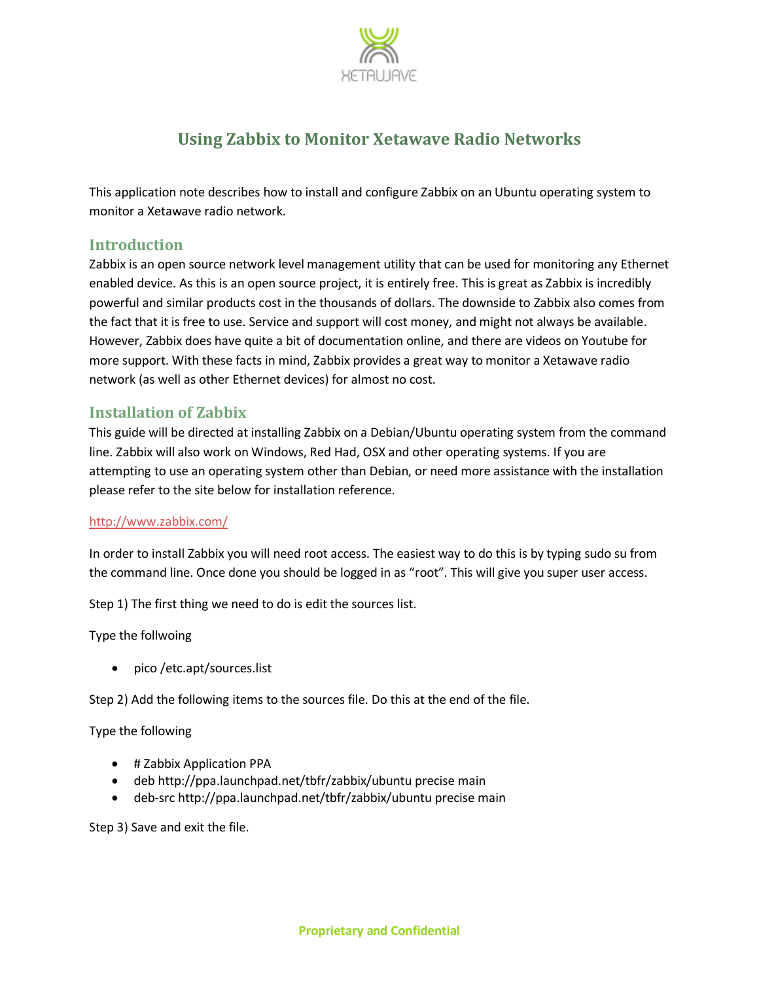

# **Using Zabbix to Monitor Xetawave Radio Networks**

This application note describes how to install and configure Zabbix on an Ubuntu operating system to monitor a Xetawave radio network.

## **Introduction**

Zabbix is an open source network level management utility that can be used for monitoring any Ethernet enabled device. As this is an open source project, it is entirely free. This is great as Zabbix is incredibly powerful and similar products cost in the thousands of dollars. The downside to Zabbix also comes from the fact that it is free to use. Service and support will cost money, and might not always be available. However, Zabbix does have quite a bit of documentation online, and there are videos on Youtube for more support. With these facts in mind, Zabbix provides a great way to monitor a Xetawave radio network (as well as other Ethernet devices) for almost no cost.

# **Installation of Zabbix**

This guide will be directed at installing Zabbix on a Debian/Ubuntu operating system from the command line. Zabbix will also work on Windows, Red Had, OSX and other operating systems. If you are attempting to use an operating system other than Debian, or need more assistance with the installation please refer to the site below for installation reference.

#### <http://www.zabbix.com/>

In order to install Zabbix you will need root access. The easiest way to do this is by typing sudo su from the command line. Once done you should be logged in as "root". This will give you super user access.

Step 1) The first thing we need to do is edit the sources list.

Type the follwoing

• pico /etc.apt/sources.list

Step 2) Add the following items to the sources file. Do this at the end of the file.

Type the following

- # Zabbix Application PPA
- deb http://ppa.launchpad.net/tbfr/zabbix/ubuntu precise main
- deb-src http://ppa.launchpad.net/tbfr/zabbix/ubuntu precise main

Step 3) Save and exit the file.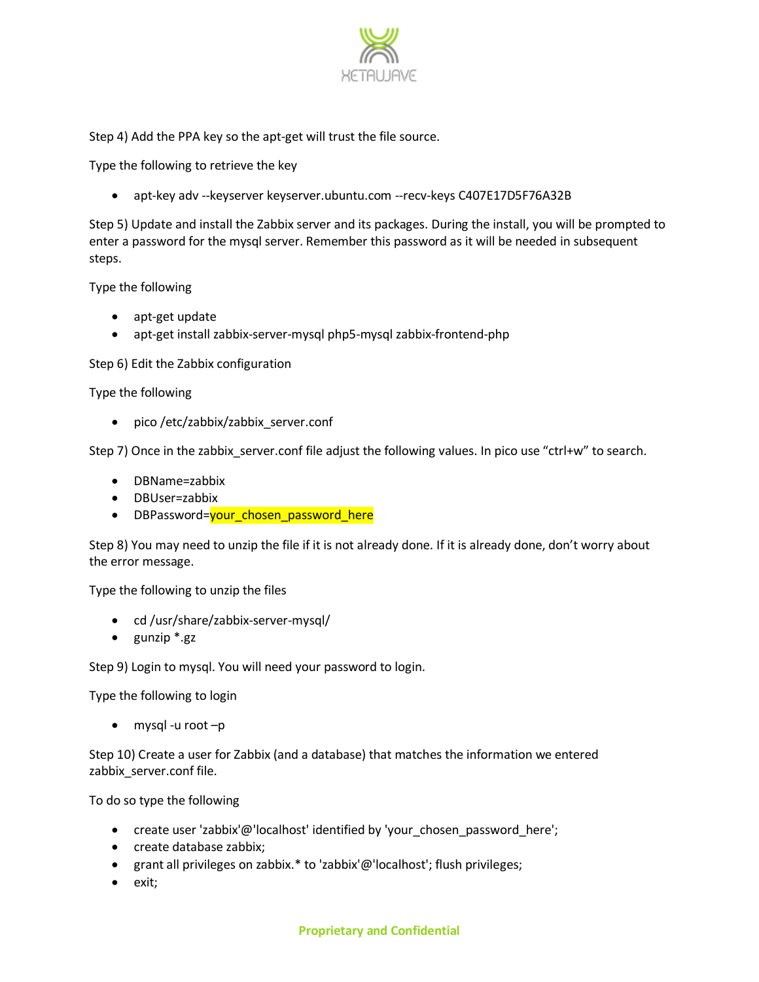

Step 4) Add the PPA key so the apt-get will trust the file source.

Type the following to retrieve the key

apt-key adv --keyserver keyserver.ubuntu.com --recv-keys C407E17D5F76A32B

Step 5) Update and install the Zabbix server and its packages. During the install, you will be prompted to enter a password for the mysql server. Remember this password as it will be needed in subsequent steps.

Type the following

- apt-get update
- apt-get install zabbix-server-mysql php5-mysql zabbix-frontend-php

Step 6) Edit the Zabbix configuration

Type the following

pico /etc/zabbix/zabbix\_server.conf

Step 7) Once in the zabbix server.conf file adjust the following values. In pico use "ctrl+w" to search.

- DBName=zabbix
- DBUser=zabbix
- DBPassword=vour\_chosen\_password\_here

Step 8) You may need to unzip the file if it is not already done. If it is already done, don't worry about the error message.

Type the following to unzip the files

- cd /usr/share/zabbix-server-mysql/
- $\bullet$  gunzip  $*$ .gz

Step 9) Login to mysql. You will need your password to login.

Type the following to login

 $\bullet$  mysql -u root  $-p$ 

Step 10) Create a user for Zabbix (and a database) that matches the information we entered zabbix\_server.conf file.

To do so type the following

- create user 'zabbix'@'localhost' identified by 'your\_chosen\_password\_here';
- create database zabbix:
- grant all privileges on zabbix.\* to 'zabbix'@'localhost'; flush privileges;
- exit;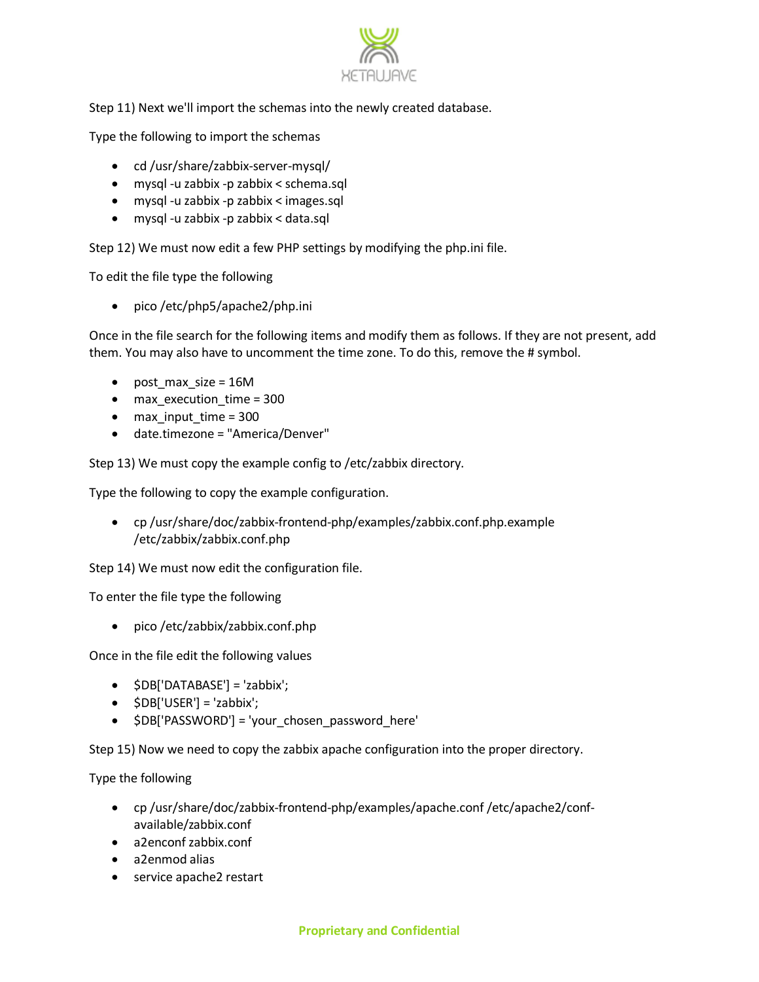

## Step 11) Next we'll import the schemas into the newly created database.

Type the following to import the schemas

- cd /usr/share/zabbix-server-mysql/
- mysql -u zabbix -p zabbix < schema.sql
- mysql -u zabbix -p zabbix < images.sql
- mysql -u zabbix -p zabbix < data.sql

Step 12) We must now edit a few PHP settings by modifying the php.ini file.

To edit the file type the following

• pico /etc/php5/apache2/php.ini

Once in the file search for the following items and modify them as follows. If they are not present, add them. You may also have to uncomment the time zone. To do this, remove the # symbol.

- post max size = 16M
- max\_execution\_time = 300
- $\bullet$  max input time = 300
- date.timezone = "America/Denver"

Step 13) We must copy the example config to /etc/zabbix directory.

Type the following to copy the example configuration.

 cp /usr/share/doc/zabbix-frontend-php/examples/zabbix.conf.php.example /etc/zabbix/zabbix.conf.php

Step 14) We must now edit the configuration file.

To enter the file type the following

pico /etc/zabbix/zabbix.conf.php

Once in the file edit the following values

- \$DB['DATABASE'] = 'zabbix';
- $\bullet$   $\$DB['USER'] = 'zabbix';$
- \$DB['PASSWORD'] = 'your chosen password here'

Step 15) Now we need to copy the zabbix apache configuration into the proper directory.

Type the following

- cp /usr/share/doc/zabbix-frontend-php/examples/apache.conf /etc/apache2/confavailable/zabbix.conf
- a2enconf zabbix.conf
- a2enmod alias
- service apache2 restart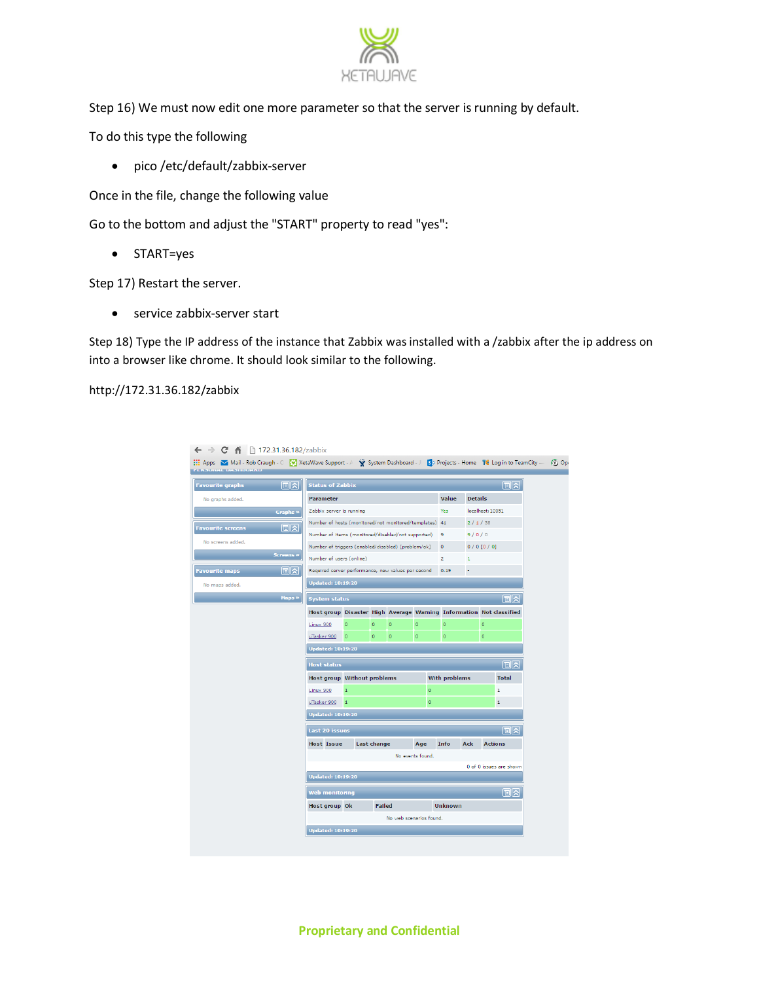

Step 16) We must now edit one more parameter so that the server is running by default.

To do this type the following

pico /etc/default/zabbix-server

Once in the file, change the following value

Go to the bottom and adjust the "START" property to read "yes":

• START=yes

Step 17) Restart the server.

• service zabbix-server start

Step 18) Type the IP address of the instance that Zabbix was installed with a /zabbix after the ip address on into a browser like chrome. It should look similar to the following.

http://172.31.36.182/zabbix

| 同因<br><b>Favourite graphs</b>  |                                                        | 同内<br><b>Status of Zabbix</b>                                                 |               |                         |                  |                      |                |                  |                          |
|--------------------------------|--------------------------------------------------------|-------------------------------------------------------------------------------|---------------|-------------------------|------------------|----------------------|----------------|------------------|--------------------------|
| No graphs added.               | <b>Parameter</b>                                       |                                                                               |               |                         |                  | Value                | <b>Details</b> |                  |                          |
| <b>Graphs »</b>                | Zabbix server is running                               |                                                                               |               |                         |                  | Yes                  |                | localhost: 10051 |                          |
| 间☆<br><b>Favourite screens</b> | Number of hosts (monitored/not monitored/templates) 41 |                                                                               |               |                         |                  |                      | 2/1/38         |                  |                          |
|                                |                                                        | 9/0/0<br>Number of items (monitored/disabled/not supported)<br>$\overline{9}$ |               |                         |                  |                      |                |                  |                          |
| No screens added.              |                                                        | Number of triggers (enabled/disabled) [problem/ok]<br>$0/0$ [0/0]<br>$\circ$  |               |                         |                  |                      |                |                  |                          |
| <b>Screens »</b>               |                                                        | Number of users (online)<br>$\overline{2}$<br>$\mathbf{1}$                    |               |                         |                  |                      |                |                  |                          |
| । ା⊳ା<br><b>Favourite maps</b> |                                                        | Required server performance, new values per second<br>0.19                    |               |                         |                  |                      |                |                  |                          |
| No maps added.                 |                                                        | <b>Updated: 10:19:20</b>                                                      |               |                         |                  |                      |                |                  |                          |
| Maps »                         |                                                        | $\mathbb{R}$<br><b>System status</b>                                          |               |                         |                  |                      |                |                  |                          |
|                                |                                                        | Host group Disaster High Average Warning Information Not classified           |               |                         |                  |                      |                |                  |                          |
|                                | Linux 900                                              | $\circ$                                                                       | $\circ$       | $\circ$                 | $\circ$          | $\circ$              |                | $\circ$          |                          |
|                                | uTasker 900                                            | $\overline{\phantom{a}}$                                                      | $\circ$       | $\circ$                 | $\circ$          | $\circ$              |                | $\circ$          |                          |
|                                | <b>Updated: 10:19:20</b>                               |                                                                               |               |                         |                  |                      |                |                  |                          |
|                                | <b>Host status</b>                                     |                                                                               |               |                         |                  |                      |                |                  | 同区                       |
|                                | <b>Host group Without problems</b>                     |                                                                               |               |                         |                  | <b>With problems</b> |                |                  | <b>Total</b>             |
|                                | Linux 900                                              | $\mathbf 1$                                                                   |               |                         | $\circ$          |                      |                |                  | $\mathbf{1}$             |
|                                | uTasker 900 1                                          |                                                                               |               |                         | $\circ$          |                      |                |                  | $\mathbf{1}$             |
|                                | <b>Updated: 10:19:20</b>                               |                                                                               |               |                         |                  |                      |                |                  |                          |
|                                | Last 20 issues                                         |                                                                               |               |                         |                  |                      |                |                  | $\mathbb{E}[\mathbf{x}]$ |
|                                | <b>Host Issue</b>                                      |                                                                               | Last change   |                         | Age              | Info                 | Ack            | <b>Actions</b>   |                          |
|                                |                                                        |                                                                               |               |                         | No events found. |                      |                |                  |                          |
|                                |                                                        |                                                                               |               |                         |                  |                      |                |                  | 0 of 0 issues are shown  |
|                                | <b>Updated: 10:19:20</b>                               |                                                                               |               |                         |                  |                      |                |                  |                          |
|                                | <b>Web monitoring</b>                                  |                                                                               |               |                         |                  |                      |                |                  | ା⊡ାଧ                     |
|                                | Host group Ok                                          |                                                                               | <b>Failed</b> |                         |                  | <b>Unknown</b>       |                |                  |                          |
|                                |                                                        |                                                                               |               |                         |                  |                      |                |                  |                          |
|                                |                                                        |                                                                               |               | No web scenarios found. |                  |                      |                |                  |                          |

**Proprietary and Confidential**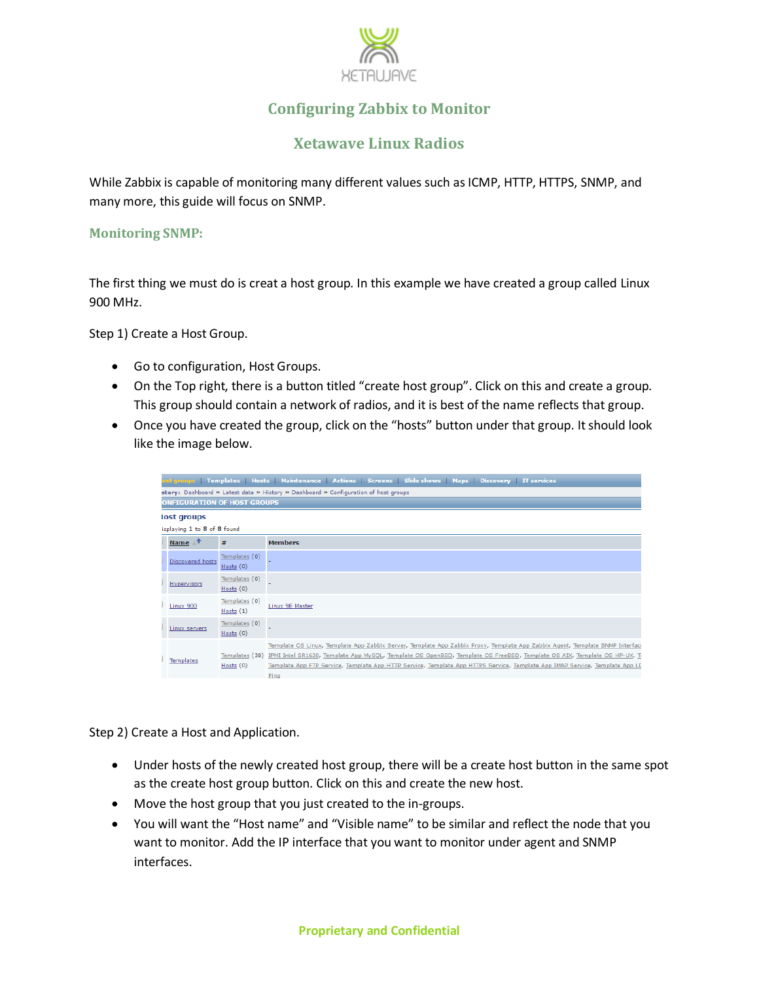

# **Configuring Zabbix to Monitor**

# **Xetawave Linux Radios**

While Zabbix is capable of monitoring many different values such as ICMP, HTTP, HTTPS, SNMP, and many more, this guide will focus on SNMP.

#### **Monitoring SNMP:**

The first thing we must do is creat a host group. In this example we have created a group called Linux 900 MHz.

Step 1) Create a Host Group.

- Go to configuration, Host Groups.
- On the Top right, there is a button titled "create host group". Click on this and create a group. This group should contain a network of radios, and it is best of the name reflects that group.
- Once you have created the group, click on the "hosts" button under that group. It should look like the image below.

|                                                                                     |                               | ost groups   Templates   Hosts   Maintenance   Actions   Screens   Slide shows   Maps   Discovery   IT services                                                                                                                                                                                                                                                                                |  |  |  |
|-------------------------------------------------------------------------------------|-------------------------------|------------------------------------------------------------------------------------------------------------------------------------------------------------------------------------------------------------------------------------------------------------------------------------------------------------------------------------------------------------------------------------------------|--|--|--|
| story: Dashboard » Latest data » History » Dashboard » Configuration of host groups |                               |                                                                                                                                                                                                                                                                                                                                                                                                |  |  |  |
| <b>ONFIGURATION OF HOST GROUPS</b>                                                  |                               |                                                                                                                                                                                                                                                                                                                                                                                                |  |  |  |
| lost groups                                                                         |                               |                                                                                                                                                                                                                                                                                                                                                                                                |  |  |  |
| isplaying 1 to 8 of 8 found                                                         |                               |                                                                                                                                                                                                                                                                                                                                                                                                |  |  |  |
| Name $\mathbb{I}^T$                                                                 | #                             | <b>Members</b>                                                                                                                                                                                                                                                                                                                                                                                 |  |  |  |
| Discovered hosts                                                                    | Templates (0)<br>Hosts(0)     |                                                                                                                                                                                                                                                                                                                                                                                                |  |  |  |
| Hypervisors                                                                         | Templates (0)<br>Hosts $(0)$  |                                                                                                                                                                                                                                                                                                                                                                                                |  |  |  |
| Linux 900                                                                           | Templates (0)<br>Hosts(1)     | Linux 9E Master                                                                                                                                                                                                                                                                                                                                                                                |  |  |  |
| Linux servers                                                                       | Templates (0)<br>Hosts(0)     |                                                                                                                                                                                                                                                                                                                                                                                                |  |  |  |
| <b>Templates</b>                                                                    | Templates (38)<br>Hosts $(0)$ | Template OS Linux, Template App Zabbix Server, Template App Zabbix Proxy, Template App Zabbix Agent, Template SNMP Interfaci<br>IPMI Intel SR1630, Template App MySQL, Template OS OpenBSD, Template OS FreeBSD, Template OS AIX, Template OS HP-UX, Ti<br>Template App FTP Service, Template App HTTP Service, Template App HTTPS Service, Template App IMAP Service, Template App LC<br>Ping |  |  |  |

Step 2) Create a Host and Application.

- Under hosts of the newly created host group, there will be a create host button in the same spot as the create host group button. Click on this and create the new host.
- Move the host group that you just created to the in-groups.
- You will want the "Host name" and "Visible name" to be similar and reflect the node that you want to monitor. Add the IP interface that you want to monitor under agent and SNMP interfaces.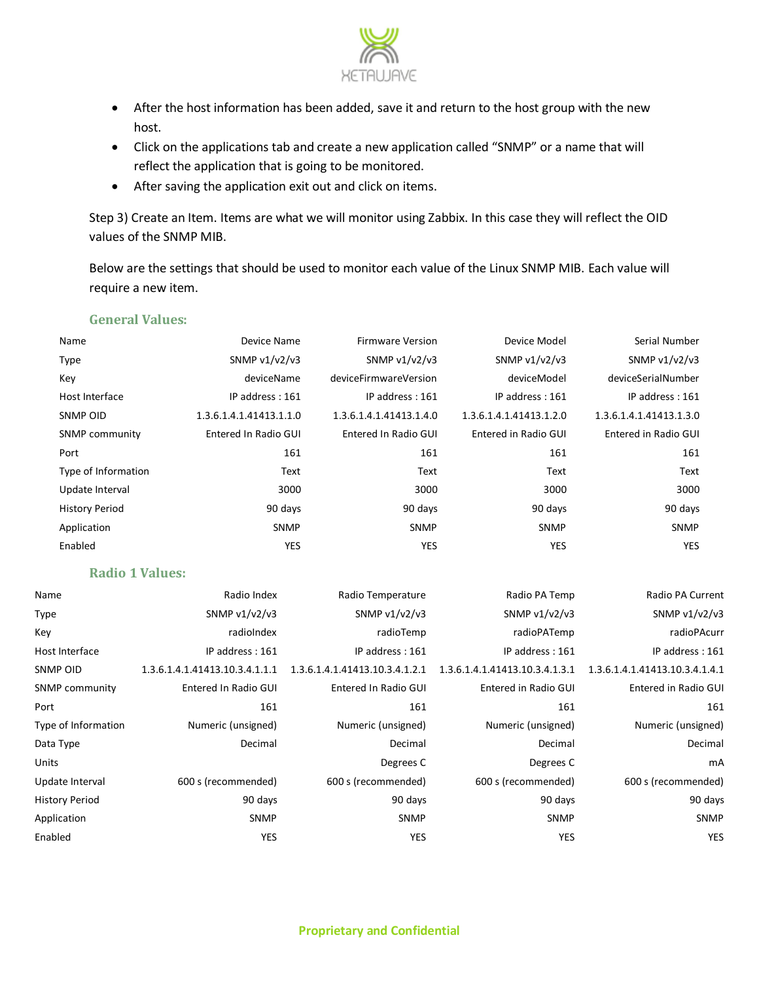

- After the host information has been added, save it and return to the host group with the new host.
- Click on the applications tab and create a new application called "SNMP" or a name that will reflect the application that is going to be monitored.
- After saving the application exit out and click on items.

Step 3) Create an Item. Items are what we will monitor using Zabbix. In this case they will reflect the OID values of the SNMP MIB.

Below are the settings that should be used to monitor each value of the Linux SNMP MIB. Each value will require a new item.

| Name                  | Device Name             | <b>Firmware Version</b> | Device Model            | Serial Number           |
|-----------------------|-------------------------|-------------------------|-------------------------|-------------------------|
| <b>Type</b>           | SNMP $v1/v2/v3$         | SNMP $v1/v2/v3$         | SNMP $v1/v2/v3$         | SNMP $v1/v2/v3$         |
| Key                   | deviceName              | deviceFirmwareVersion   | deviceModel             | deviceSerialNumber      |
| Host Interface        | IP address: 161         | IP address: 161         | IP address: 161         | IP address: 161         |
| SNMP OID              | 1.3.6.1.4.1.41413.1.1.0 | 1.3.6.1.4.1.41413.1.4.0 | 1.3.6.1.4.1.41413.1.2.0 | 1.3.6.1.4.1.41413.1.3.0 |
| SNMP community        | Entered In Radio GUI    | Entered In Radio GUI    | Entered in Radio GUI    | Entered in Radio GUI    |
| Port                  | 161                     | 161                     | 161                     | 161                     |
| Type of Information   | Text                    | Text                    | Text                    | Text                    |
| Update Interval       | 3000                    | 3000                    | 3000                    | 3000                    |
| <b>History Period</b> | 90 days                 | 90 days                 | 90 days                 | 90 days                 |
| Application           | <b>SNMP</b>             | <b>SNMP</b>             | <b>SNMP</b>             | <b>SNMP</b>             |
| Enabled               | <b>YES</b>              | <b>YES</b>              | YES                     | <b>YES</b>              |

#### **General Values:**

| <b>Radio 1 Values:</b> |  |  |  |  |  |
|------------------------|--|--|--|--|--|
|------------------------|--|--|--|--|--|

| Name                  | Radio Index                    | Radio Temperature              | Radio PA Temp                  | Radio PA Current               |
|-----------------------|--------------------------------|--------------------------------|--------------------------------|--------------------------------|
| <b>Type</b>           | SNMP $v1/v2/v3$                | SNMP $v1/v2/v3$                | SNMP $v1/v2/v3$                | SNMP v1/v2/v3                  |
| Key                   | radioIndex                     | radioTemp                      | radioPATemp                    | radioPAcurr                    |
| Host Interface        | IP address: 161                | IP address: 161                | IP address: 161                | IP address: 161                |
| SNMP OID              | 1.3.6.1.4.1.41413.10.3.4.1.1.1 | 1.3.6.1.4.1.41413.10.3.4.1.2.1 | 1.3.6.1.4.1.41413.10.3.4.1.3.1 | 1.3.6.1.4.1.41413.10.3.4.1.4.1 |
| <b>SNMP community</b> | Entered In Radio GUI           | Entered In Radio GUI           | Entered in Radio GUI           | Entered in Radio GUI           |
| Port                  | 161                            | 161                            | 161                            | 161                            |
| Type of Information   | Numeric (unsigned)             | Numeric (unsigned)             | Numeric (unsigned)             | Numeric (unsigned)             |
| Data Type             | Decimal                        | Decimal                        | Decimal                        | Decimal                        |
| Units                 |                                | Degrees C                      | Degrees C                      | mA                             |
| Update Interval       | 600 s (recommended)            | 600 s (recommended)            | 600 s (recommended)            | 600 s (recommended)            |
| <b>History Period</b> | 90 days                        | 90 days                        | 90 days                        | 90 days                        |
| Application           | <b>SNMP</b>                    | <b>SNMP</b>                    | <b>SNMP</b>                    | <b>SNMP</b>                    |
| Enabled               | YES                            | <b>YES</b>                     | YES                            | <b>YES</b>                     |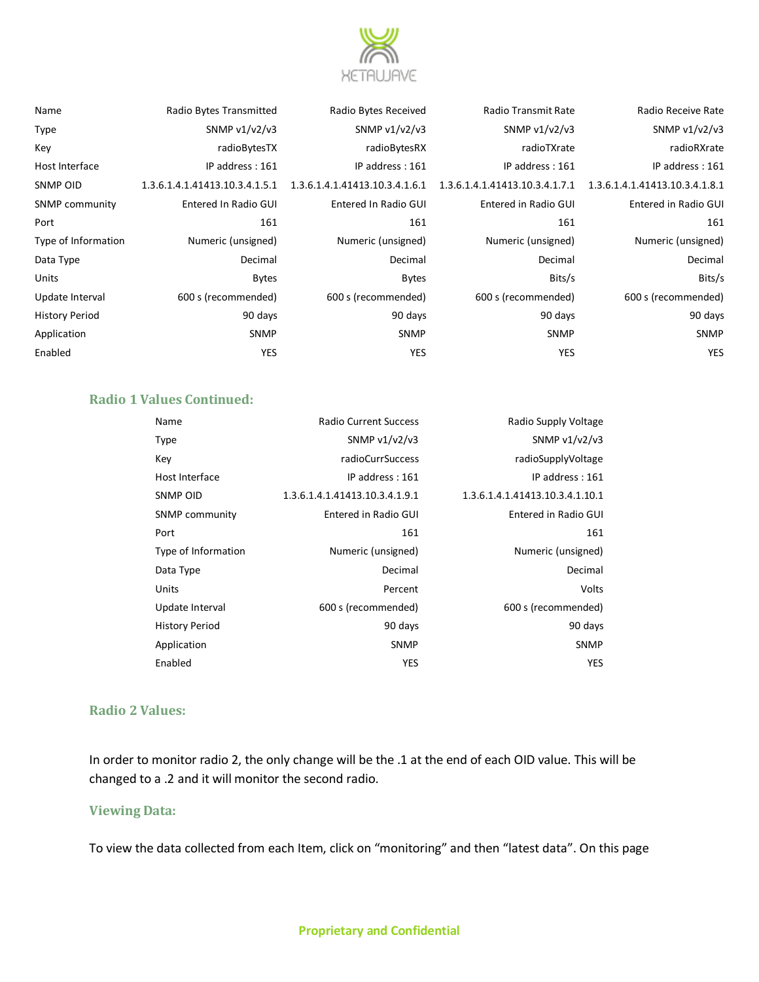

| Name                  | Radio Bytes Transmitted        | Radio Bytes Received           | Radio Transmit Rate            | Radio Receive Rate             |  |
|-----------------------|--------------------------------|--------------------------------|--------------------------------|--------------------------------|--|
| Type                  | SNMP v1/v2/v3                  | SNMP v1/v2/v3                  | SNMP $v1/v2/v3$                | SNMP $v1/v2/v3$                |  |
| Key                   | radioBytesTX                   | radioBytesRX                   | radioTXrate                    | radioRXrate                    |  |
| Host Interface        | IP address: 161                | IP address: 161                | IP address: 161                | IP address: 161                |  |
| SNMP OID              | 1.3.6.1.4.1.41413.10.3.4.1.5.1 | 1.3.6.1.4.1.41413.10.3.4.1.6.1 | 1.3.6.1.4.1.41413.10.3.4.1.7.1 | 1.3.6.1.4.1.41413.10.3.4.1.8.1 |  |
| <b>SNMP</b> community | Entered In Radio GUI           | Entered In Radio GUI           | Entered in Radio GUI           | Entered in Radio GUI           |  |
| Port                  | 161                            | 161                            | 161                            | 161                            |  |
| Type of Information   | Numeric (unsigned)             | Numeric (unsigned)             | Numeric (unsigned)             | Numeric (unsigned)             |  |
| Data Type             | Decimal                        | Decimal                        | Decimal                        | Decimal                        |  |
| Units                 | <b>Bytes</b>                   | <b>Bytes</b>                   | Bits/s                         | Bits/s                         |  |
| Update Interval       | 600 s (recommended)            | 600 s (recommended)            | 600 s (recommended)            | 600 s (recommended)            |  |
| History Period        | 90 days                        | 90 days                        | 90 days                        | 90 days                        |  |
| Application           | <b>SNMP</b>                    | <b>SNMP</b>                    | <b>SNMP</b>                    | <b>SNMP</b>                    |  |
| Enabled               | <b>YES</b>                     | <b>YES</b>                     | <b>YES</b>                     | <b>YES</b>                     |  |
|                       |                                |                                |                                |                                |  |

| ivalile               | Radio Bytes Transmitted        |
|-----------------------|--------------------------------|
| Type                  | SNMP $v1/v2/v3$                |
| Key                   | radioBytesTX                   |
| Host Interface        | IP address : 161               |
| <b>SNMP OID</b>       | 1.3.6.1.4.1.41413.10.3.4.1.5.1 |
| <b>SNMP community</b> | Entered In Radio GUI           |
| Port                  | 161                            |
| Type of Information   | Numeric (unsigned)             |
| Data Type             | Decimal                        |
| Units                 | <b>Bytes</b>                   |
| Update Interval       | 600 s (recommended)            |
| <b>History Period</b> | 90 days                        |
| Application           | <b>SNMP</b>                    |
| Enabled               | YES                            |
|                       |                                |

## **Radio 1 Values Continued:**

| Name                  | <b>Radio Current Success</b>   | Radio Supply Voltage            |
|-----------------------|--------------------------------|---------------------------------|
| <b>Type</b>           | SNMP $v1/v2/v3$                | SNMP v1/v2/v3                   |
| Key                   | radioCurrSuccess               | radioSupplyVoltage              |
| Host Interface        | IP address: 161                | IP address: 161                 |
| SNMP OID              | 1.3.6.1.4.1.41413.10.3.4.1.9.1 | 1.3.6.1.4.1.41413.10.3.4.1.10.1 |
| <b>SNMP community</b> | Entered in Radio GUI           | Entered in Radio GUI            |
| Port                  | 161                            | 161                             |
| Type of Information   | Numeric (unsigned)             | Numeric (unsigned)              |
| Data Type             | Decimal                        | Decimal                         |
| Units                 | Percent                        | Volts                           |
| Update Interval       | 600 s (recommended)            | 600 s (recommended)             |
| <b>History Period</b> | 90 days                        | 90 days                         |
| Application           | <b>SNMP</b>                    | <b>SNMP</b>                     |
| Enabled               | <b>YES</b>                     | YES                             |

### **Radio 2 Values:**

In order to monitor radio 2, the only change will be the .1 at the end of each OID value. This will be changed to a .2 and it will monitor the second radio.

#### **Viewing Data:**

To view the data collected from each Item, click on "monitoring" and then "latest data". On this page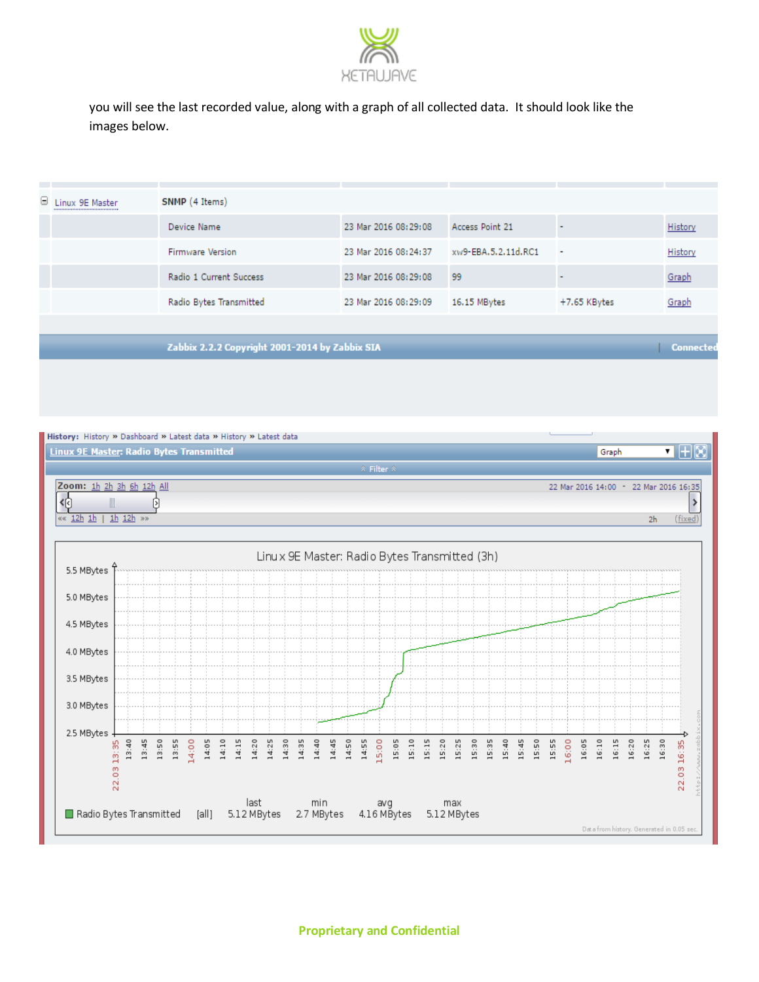

you will see the last recorded value, along with a graph of all collected data. It should look like the images below.

| Linux 9E Master                                 | SNMP (4 Items)                                                                                  |                                                                      |                                                    |                                                             |                  |
|-------------------------------------------------|-------------------------------------------------------------------------------------------------|----------------------------------------------------------------------|----------------------------------------------------|-------------------------------------------------------------|------------------|
|                                                 | Device Name                                                                                     | 23 Mar 2016 08:29:08                                                 | Access Point 21                                    | ÷                                                           | History          |
|                                                 | <b>Firmware Version</b>                                                                         | 23 Mar 2016 08:24:37                                                 | xw9-EBA.5.2.11d.RC1                                | ÷,                                                          | History          |
|                                                 | Radio 1 Current Success                                                                         | 23 Mar 2016 08:29:08                                                 | 99                                                 |                                                             | Graph            |
|                                                 | Radio Bytes Transmitted                                                                         | 23 Mar 2016 08:29:09                                                 | 16.15 MBytes                                       | +7.65 KBytes                                                | Graph            |
|                                                 |                                                                                                 |                                                                      |                                                    |                                                             |                  |
|                                                 | Zabbix 2.2.2 Copyright 2001-2014 by Zabbix SIA                                                  |                                                                      |                                                    |                                                             | <b>Connected</b> |
|                                                 |                                                                                                 |                                                                      |                                                    |                                                             |                  |
|                                                 |                                                                                                 |                                                                      |                                                    |                                                             |                  |
|                                                 |                                                                                                 |                                                                      |                                                    |                                                             |                  |
|                                                 |                                                                                                 |                                                                      |                                                    |                                                             |                  |
|                                                 | History: History » Dashboard » Latest data » History » Latest data                              |                                                                      |                                                    |                                                             |                  |
| <b>Linux 9E Master: Radio Bytes Transmitted</b> |                                                                                                 |                                                                      |                                                    | Graph                                                       | ■⊞⊠              |
|                                                 |                                                                                                 | $\hat{z}$ Filter $\hat{z}$                                           |                                                    |                                                             |                  |
| Zoom: 1h 2h 3h 6h 12h All                       |                                                                                                 |                                                                      |                                                    | 22 Mar 2016 14:00 - 22 Mar 2016 16:35                       |                  |
| 49                                              | Þ.                                                                                              |                                                                      |                                                    |                                                             |                  |
| $\frac{12h}{h}$<br>$1h$ $12h$ $\gg$             |                                                                                                 |                                                                      |                                                    | 2 <sub>h</sub>                                              |                  |
|                                                 |                                                                                                 |                                                                      |                                                    |                                                             |                  |
|                                                 |                                                                                                 |                                                                      |                                                    |                                                             |                  |
|                                                 |                                                                                                 |                                                                      |                                                    |                                                             |                  |
|                                                 |                                                                                                 | Linux 9E Master: Radio Bytes Transmitted (3h)                        |                                                    |                                                             |                  |
| 5.5 MBytes                                      |                                                                                                 |                                                                      |                                                    |                                                             |                  |
|                                                 |                                                                                                 |                                                                      |                                                    |                                                             |                  |
| 5.0 MBytes                                      |                                                                                                 |                                                                      |                                                    |                                                             |                  |
| 4.5 MBytes                                      |                                                                                                 |                                                                      |                                                    |                                                             |                  |
|                                                 |                                                                                                 |                                                                      |                                                    |                                                             |                  |
| 4.0 MBytes                                      |                                                                                                 |                                                                      |                                                    |                                                             |                  |
|                                                 |                                                                                                 |                                                                      |                                                    |                                                             |                  |
| 3.5 MBytes                                      |                                                                                                 |                                                                      |                                                    |                                                             |                  |
| 3.0 MBytes                                      |                                                                                                 |                                                                      |                                                    |                                                             |                  |
|                                                 |                                                                                                 |                                                                      |                                                    |                                                             |                  |
| 2.5 MBytes                                      |                                                                                                 |                                                                      |                                                    |                                                             | Ð                |
|                                                 |                                                                                                 |                                                                      |                                                    |                                                             |                  |
| 13:40<br>13:45                                  | 13:50<br>13:55<br>14:10<br>14:00<br>14:05<br>14:15<br>14:20<br>14:25<br>14:30<br>14:35<br>14:40 | 14:50<br>14:55<br>15:05<br>15:10<br>15:15<br>15:20<br>14:45<br>15:00 | 15:25<br>15:30<br>15:40<br>15:50<br>15:35<br>15:45 | 15:55<br>16:00<br>16:05<br>16:10<br>16:15<br>16:20<br>16:25 | 16:30<br>16:35   |
| 22.03 13:35                                     |                                                                                                 |                                                                      |                                                    |                                                             | 22.03            |
|                                                 | last                                                                                            |                                                                      | max                                                |                                                             |                  |
| Radio Bytes Transmitted                         | 5.12 MBytes<br>[all]                                                                            | min<br>avg<br>4.16 MBytes<br>2.7 MBytes                              | 5.12 MBytes                                        |                                                             | (fixed)          |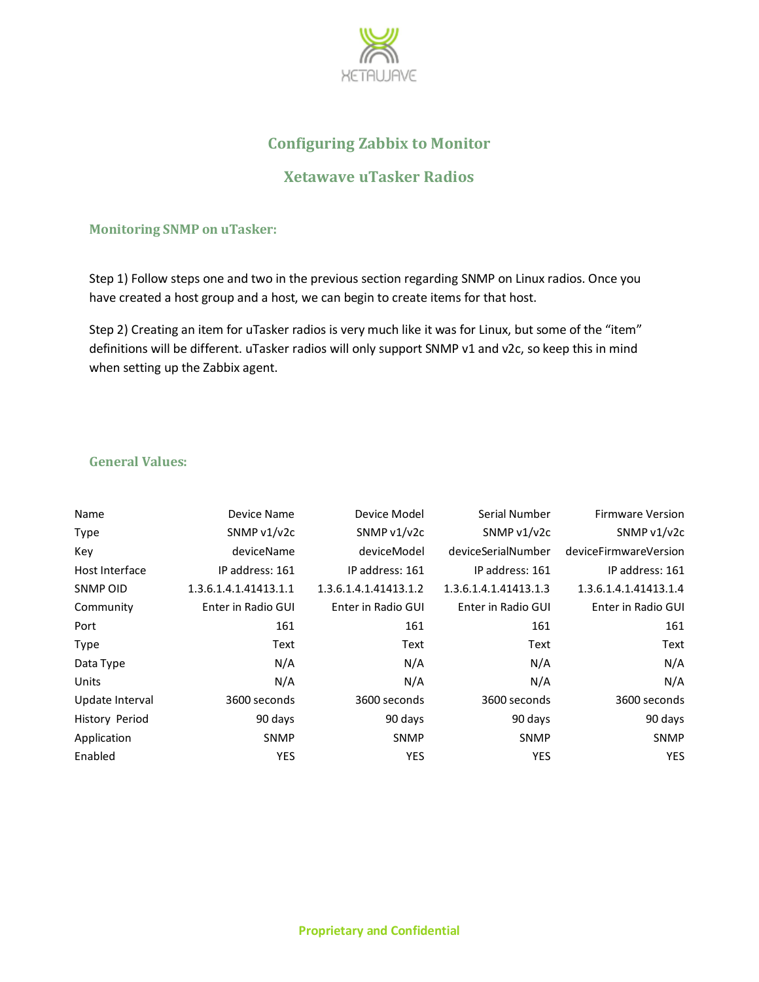

# **Configuring Zabbix to Monitor**

# **Xetawave uTasker Radios**

#### **Monitoring SNMP on uTasker:**

Step 1) Follow steps one and two in the previous section regarding SNMP on Linux radios. Once you have created a host group and a host, we can begin to create items for that host.

Step 2) Creating an item for uTasker radios is very much like it was for Linux, but some of the "item" definitions will be different. uTasker radios will only support SNMP v1 and v2c, so keep this in mind when setting up the Zabbix agent.

### **General Values:**

| Name            | Device Name           | Device Model          | Serial Number         | <b>Firmware Version</b> |
|-----------------|-----------------------|-----------------------|-----------------------|-------------------------|
| Type            | SNMP v1/v2c           | SNMP v1/v2c           | SNMP v1/v2c           | SNMP v1/v2c             |
| Key             | deviceName            | deviceModel           | deviceSerialNumber    | deviceFirmwareVersion   |
| Host Interface  | IP address: 161       | IP address: 161       | IP address: 161       | IP address: 161         |
| SNMP OID        | 1.3.6.1.4.1.41413.1.1 | 1.3.6.1.4.1.41413.1.2 | 1.3.6.1.4.1.41413.1.3 | 1.3.6.1.4.1.41413.1.4   |
| Community       | Enter in Radio GUI    | Enter in Radio GUI    | Enter in Radio GUI    | Enter in Radio GUI      |
| Port            | 161                   | 161                   | 161                   | 161                     |
| <b>Type</b>     | Text                  | Text                  | Text                  | Text                    |
| Data Type       | N/A                   | N/A                   | N/A                   | N/A                     |
| Units           | N/A                   | N/A                   | N/A                   | N/A                     |
| Update Interval | 3600 seconds          | 3600 seconds          | 3600 seconds          | 3600 seconds            |
| History Period  | 90 days               | 90 days               | 90 days               | 90 days                 |
| Application     | <b>SNMP</b>           | <b>SNMP</b>           | <b>SNMP</b>           | <b>SNMP</b>             |
| Enabled         | <b>YES</b>            | <b>YES</b>            | <b>YES</b>            | <b>YES</b>              |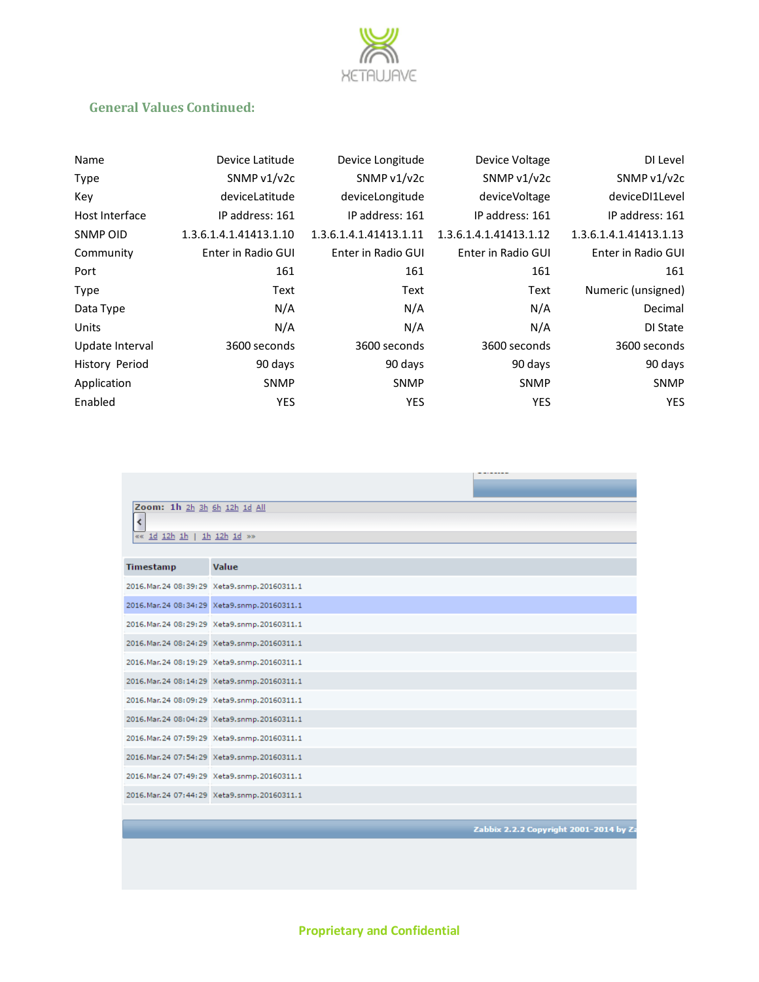

## **General Values Continued:**

| Name            | Device Latitude        | Device Longitude       | Device Voltage         | DI Level               |
|-----------------|------------------------|------------------------|------------------------|------------------------|
| Type            | SNMP $v1/v2c$          | SNMP $v1/v2c$          | SNMP $v1/v2c$          | SNMP $v1/v2c$          |
| Key             | deviceLatitude         | deviceLongitude        | deviceVoltage          | deviceDI1Level         |
| Host Interface  | IP address: 161        | IP address: 161        | IP address: 161        | IP address: 161        |
| SNMP OID        | 1.3.6.1.4.1.41413.1.10 | 1.3.6.1.4.1.41413.1.11 | 1.3.6.1.4.1.41413.1.12 | 1.3.6.1.4.1.41413.1.13 |
| Community       | Enter in Radio GUI     | Enter in Radio GUI     | Enter in Radio GUI     | Enter in Radio GUI     |
| Port            | 161                    | 161                    | 161                    | 161                    |
| Type            | Text                   | Text                   | Text                   | Numeric (unsigned)     |
| Data Type       | N/A                    | N/A                    | N/A                    | Decimal                |
| Units           | N/A                    | N/A                    | N/A                    | DI State               |
| Update Interval | 3600 seconds           | 3600 seconds           | 3600 seconds           | 3600 seconds           |
| History Period  | 90 days                | 90 days                | 90 days                | 90 days                |
| Application     | <b>SNMP</b>            | <b>SNMP</b>            | <b>SNMP</b>            | <b>SNMP</b>            |
| Enabled         | <b>YES</b>             | <b>YES</b>             | <b>YES</b>             | <b>YES</b>             |

|                              |                                                 | <b>Service Products for the Service</b> |
|------------------------------|-------------------------------------------------|-----------------------------------------|
|                              |                                                 |                                         |
| Zoom: 1h 2h 3h 6h 12h 1d All |                                                 |                                         |
| ¢                            |                                                 |                                         |
| «« id i2h ih   ih i2h id »»  |                                                 |                                         |
|                              |                                                 |                                         |
|                              |                                                 |                                         |
| <b>Timestamp</b>             | Value                                           |                                         |
|                              | 2016. Mar. 24 08: 39: 29 Xeta9.snmp. 20160311.1 |                                         |
|                              | 2016. Mar. 24 08: 34: 29 Xeta9.snmp. 20160311.1 |                                         |
|                              | 2016. Mar. 24 08: 29: 29 Xeta9.snmp. 20160311.1 |                                         |
|                              | 2016. Mar. 24 08: 24: 29 Xeta9.snmp. 20160311.1 |                                         |
|                              | 2016. Mar. 24 08: 19: 29 Xeta9.snmp. 20160311.1 |                                         |
|                              | 2016. Mar. 24 08: 14: 29 Xeta9.snmp. 20160311.1 |                                         |
|                              | 2016. Mar. 24 08: 09: 29 Xeta9.snmp. 20160311.1 |                                         |
|                              | 2016. Mar. 24 08: 04: 29 Xeta9.snmp. 20160311.1 |                                         |
|                              | 2016. Mar. 24 07: 59: 29 Xeta9.snmp. 20160311.1 |                                         |
|                              | 2016. Mar. 24 07: 54: 29 Xeta9.snmp. 20160311.1 |                                         |
|                              | 2016. Mar. 24 07: 49: 29 Xeta9.snmp. 20160311.1 |                                         |
|                              | 2016. Mar. 24 07: 44: 29 Xeta9.snmp. 20160311.1 |                                         |
|                              |                                                 |                                         |
|                              |                                                 | Zabbix 2.2.2 Copyright 2001-2014 by Za  |
|                              |                                                 |                                         |
|                              |                                                 |                                         |

**Proprietary and Confidential**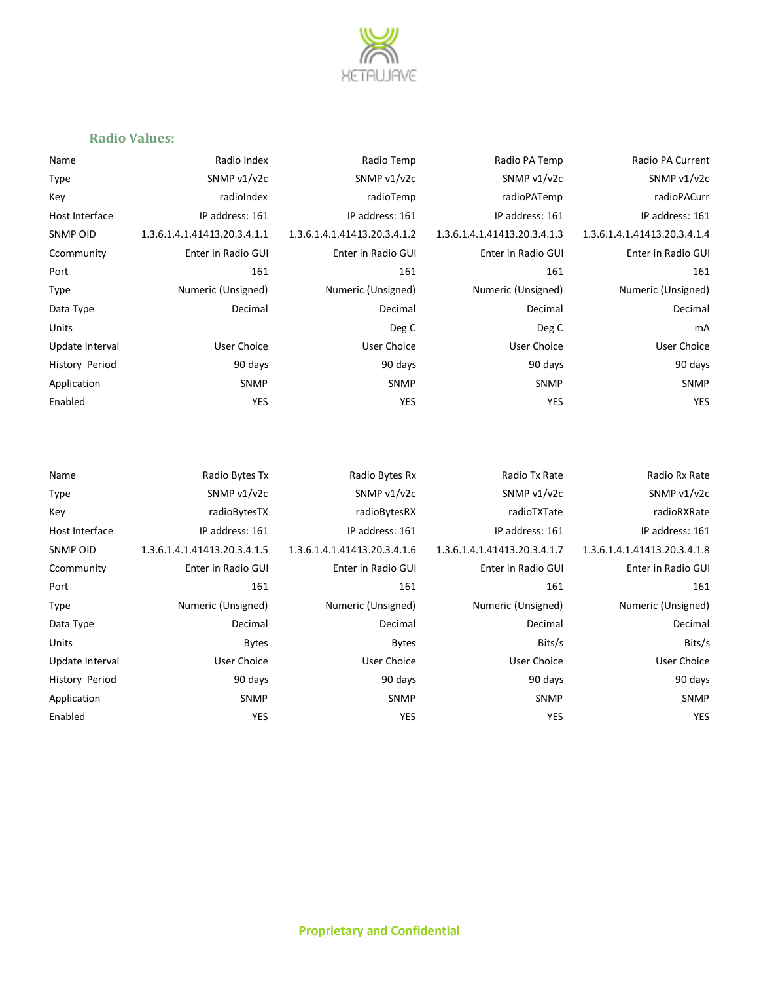

#### **Radio Values:**

| Name                  | Radio Index                  | Radio Temp                   | Radio PA Temp                | Radio PA Current             |
|-----------------------|------------------------------|------------------------------|------------------------------|------------------------------|
| Type                  | SNMP v1/v2c                  | SNMP v1/v2c                  | SNMP v1/v2c                  | SNMP v1/v2c                  |
| Key                   | radioIndex                   | radioTemp                    | radioPATemp                  | radioPACurr                  |
| Host Interface        | IP address: 161              | IP address: 161              | IP address: 161              | IP address: 161              |
| SNMP OID              | 1.3.6.1.4.1.41413.20.3.4.1.1 | 1.3.6.1.4.1.41413.20.3.4.1.2 | 1.3.6.1.4.1.41413.20.3.4.1.3 | 1.3.6.1.4.1.41413.20.3.4.1.4 |
| Ccommunity            | Enter in Radio GUI           | Enter in Radio GUI           | Enter in Radio GUI           | Enter in Radio GUI           |
| Port                  | 161                          | 161                          | 161                          | 161                          |
| Type                  | Numeric (Unsigned)           | Numeric (Unsigned)           | Numeric (Unsigned)           | Numeric (Unsigned)           |
| Data Type             | Decimal                      | Decimal                      | Decimal                      | Decimal                      |
| Units                 |                              | Deg C                        | Deg C                        | mA                           |
| Update Interval       | <b>User Choice</b>           | User Choice                  | <b>User Choice</b>           | <b>User Choice</b>           |
| <b>History Period</b> | 90 days                      | 90 days                      | 90 days                      | 90 days                      |
| Application           | <b>SNMP</b>                  | <b>SNMP</b>                  | <b>SNMP</b>                  | <b>SNMP</b>                  |
| Enabled               | YES                          | <b>YES</b>                   | <b>YES</b>                   | YES                          |
|                       |                              |                              |                              |                              |

| Radio Rx Rat                | ate |
|-----------------------------|-----|
| SNMP v1/v2                  | /2с |
| radioRXRat                  | ate |
| IP address: 16:             | L61 |
| 1.3.6.1.4.1.41413.20.3.4.1. | 1.7 |
| Enter in Radio GU           | GUI |
| 16 <sup>°</sup>             | 161 |
| Numeric (Unsigned           | ed) |
| Decima                      | nal |
| Bits/                       | s/s |
| User Choic                  | ісе |
| 90 day                      | ays |
| <b>SNMI</b>                 | МP  |
| YE:                         | /ES |
|                             |     |

Name Radio Bytes Tx Radio Bytes Rx Radio Bytes Rx Radio Tx Rate Radio Rx Rate Radio Rx Rate Type SNMP v1/v2c SNMP v1/v2c SNMP v1/v2c SNMP v1/v2c Key radioBytesTX radioBytesRX radioTXTate radioRXRate Host Interface IP address: 161 IP address: 161 IP address: 161 IP address: 161 SNMP OID 1.3.6.1.4.1.41413.20.3.4.1.5 1.3.6.1.4.1.41413.20.3.4.1.6 1.3.6.1.4.1.41413.20.3.4.1.7 1.3.6.1.4.1.41413.20.3.4.1.8 Ccommunity Enter in Radio GUI Enter in Radio GUI Enter in Radio GUI Enter in Radio GUI Port 161 161 161 161 Type Numeric (Unsigned) Numeric (Unsigned) Numeric (Unsigned) Numeric (Unsigned) Data Type **Decimal** Decimal Decimal Decimal Decimal Decimal Decimal Decimal Decimal Decimal Units Bytes Bytes Bits/s Bits/s Update Interval User Choice User Choice User Choice User Choice History Period **1988 Studies and Search 20 days** 90 days 30 days 90 days 90 days 90 days Application SNMP SNMP SNMP SNMP Enabled YES YES YES YES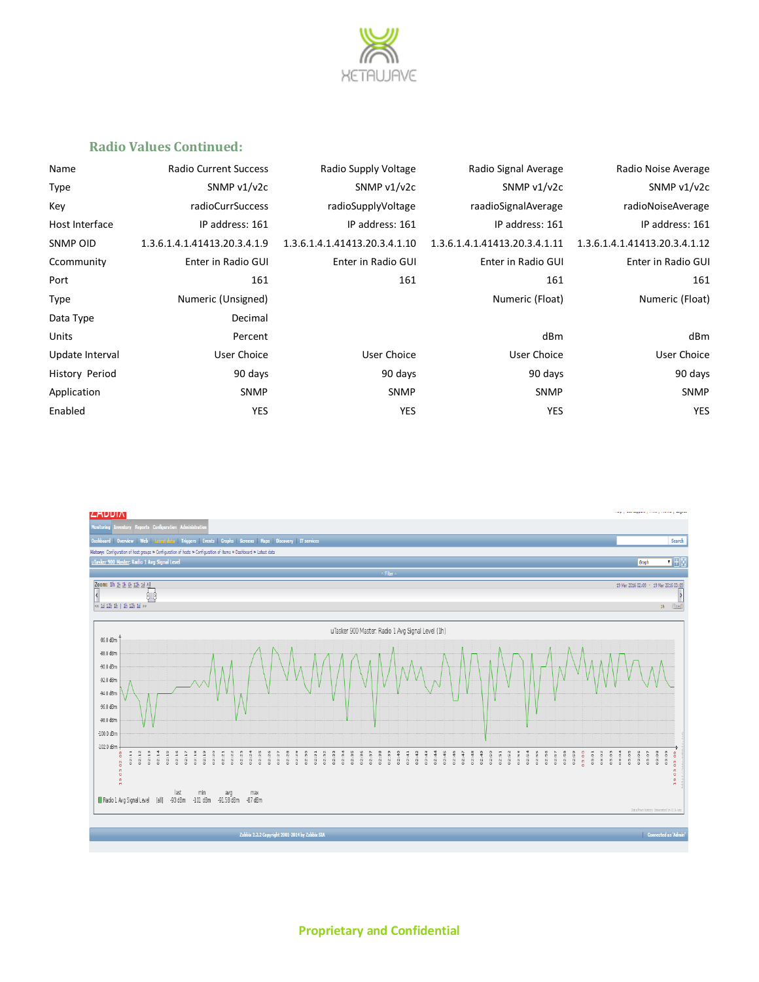

#### **Radio Values Continued:**

| Name            | <b>Radio Current Success</b> | Radio Supply Voltage          | Radio Signal Average          | Radio Noise Average           |
|-----------------|------------------------------|-------------------------------|-------------------------------|-------------------------------|
| Type            | SNMP v1/v2c                  | SNMP v1/v2c                   | SNMP v1/v2c                   | SNMP v1/v2c                   |
| Kev             | radioCurrSuccess             | radioSupplyVoltage            | raadioSignalAverage           | radioNoiseAverage             |
| Host Interface  | IP address: 161              | IP address: 161               | IP address: 161               | IP address: 161               |
| SNMP OID        | 1.3.6.1.4.1.41413.20.3.4.1.9 | 1.3.6.1.4.1.41413.20.3.4.1.10 | 1.3.6.1.4.1.41413.20.3.4.1.11 | 1.3.6.1.4.1.41413.20.3.4.1.12 |
| Ccommunity      | Enter in Radio GUI           | Enter in Radio GUI            | Enter in Radio GUI            | Enter in Radio GUI            |
| Port            | 161                          | 161                           | 161                           | 161                           |
| Type            | Numeric (Unsigned)           |                               | Numeric (Float)               | Numeric (Float)               |
| Data Type       | Decimal                      |                               |                               |                               |
| Units           | Percent                      |                               | dBm                           | dBm                           |
| Update Interval | <b>User Choice</b>           | User Choice                   | <b>User Choice</b>            | <b>User Choice</b>            |
| History Period  | 90 days                      | 90 days                       | 90 days                       | 90 days                       |
| Application     | <b>SNMP</b>                  | <b>SNMP</b>                   | <b>SNMP</b>                   | <b>SNMP</b>                   |
| Enabled         | YES                          | <b>YES</b>                    | YES                           | <b>YES</b>                    |
|                 |                              |                               |                               |                               |